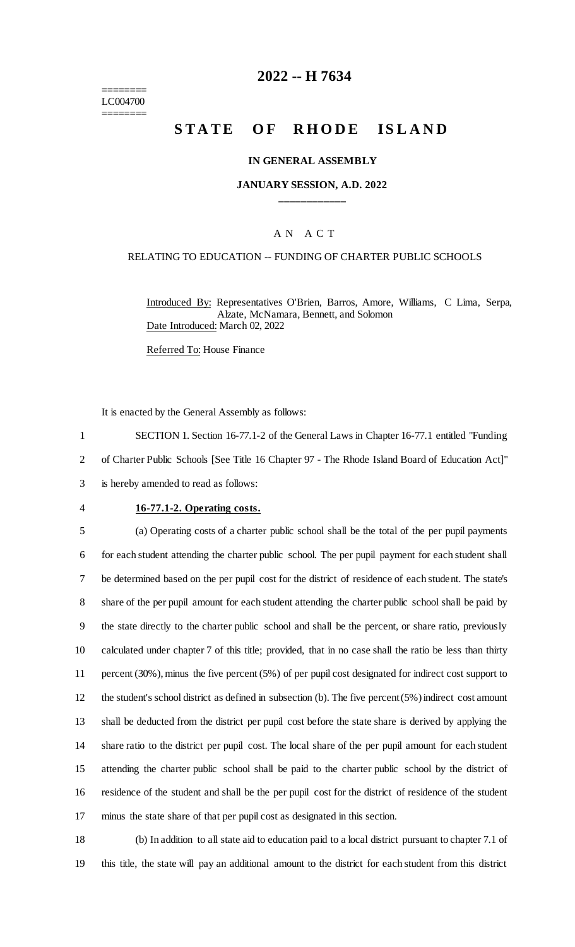======== LC004700 ========

# **2022 -- H 7634**

# **STATE OF RHODE ISLAND**

#### **IN GENERAL ASSEMBLY**

### **JANUARY SESSION, A.D. 2022 \_\_\_\_\_\_\_\_\_\_\_\_**

### A N A C T

#### RELATING TO EDUCATION -- FUNDING OF CHARTER PUBLIC SCHOOLS

Introduced By: Representatives O'Brien, Barros, Amore, Williams, C Lima, Serpa, Alzate, McNamara, Bennett, and Solomon Date Introduced: March 02, 2022

Referred To: House Finance

It is enacted by the General Assembly as follows:

1 SECTION 1. Section 16-77.1-2 of the General Laws in Chapter 16-77.1 entitled "Funding 2 of Charter Public Schools [See Title 16 Chapter 97 - The Rhode Island Board of Education Act]"

3 is hereby amended to read as follows:

### 4 **16-77.1-2. Operating costs.**

 (a) Operating costs of a charter public school shall be the total of the per pupil payments for each student attending the charter public school. The per pupil payment for each student shall be determined based on the per pupil cost for the district of residence of each student. The state's share of the per pupil amount for each student attending the charter public school shall be paid by the state directly to the charter public school and shall be the percent, or share ratio, previously calculated under chapter 7 of this title; provided, that in no case shall the ratio be less than thirty percent (30%), minus the five percent (5%) of per pupil cost designated for indirect cost support to the student's school district as defined in subsection (b). The five percent (5%) indirect cost amount shall be deducted from the district per pupil cost before the state share is derived by applying the share ratio to the district per pupil cost. The local share of the per pupil amount for each student attending the charter public school shall be paid to the charter public school by the district of residence of the student and shall be the per pupil cost for the district of residence of the student minus the state share of that per pupil cost as designated in this section.

18 (b) In addition to all state aid to education paid to a local district pursuant to chapter 7.1 of 19 this title, the state will pay an additional amount to the district for each student from this district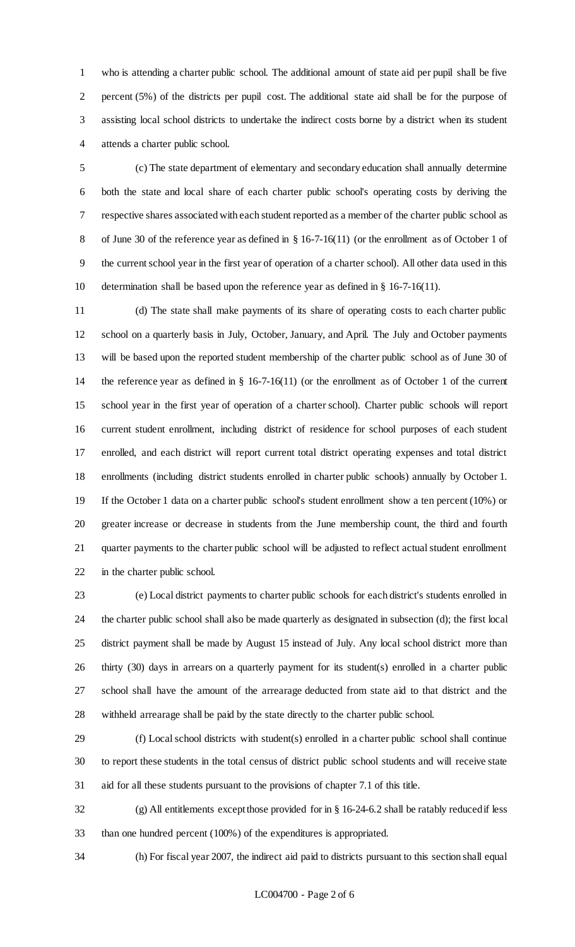who is attending a charter public school. The additional amount of state aid per pupil shall be five percent (5%) of the districts per pupil cost. The additional state aid shall be for the purpose of assisting local school districts to undertake the indirect costs borne by a district when its student attends a charter public school.

 (c) The state department of elementary and secondary education shall annually determine both the state and local share of each charter public school's operating costs by deriving the respective shares associated with each student reported as a member of the charter public school as of June 30 of the reference year as defined in § 16-7-16(11) (or the enrollment as of October 1 of the current school year in the first year of operation of a charter school). All other data used in this determination shall be based upon the reference year as defined in § 16-7-16(11).

 (d) The state shall make payments of its share of operating costs to each charter public school on a quarterly basis in July, October, January, and April. The July and October payments will be based upon the reported student membership of the charter public school as of June 30 of the reference year as defined in § 16-7-16(11) (or the enrollment as of October 1 of the current school year in the first year of operation of a charter school). Charter public schools will report current student enrollment, including district of residence for school purposes of each student enrolled, and each district will report current total district operating expenses and total district enrollments (including district students enrolled in charter public schools) annually by October 1. If the October 1 data on a charter public school's student enrollment show a ten percent (10%) or greater increase or decrease in students from the June membership count, the third and fourth quarter payments to the charter public school will be adjusted to reflect actual student enrollment in the charter public school.

 (e) Local district payments to charter public schools for each district's students enrolled in the charter public school shall also be made quarterly as designated in subsection (d); the first local district payment shall be made by August 15 instead of July. Any local school district more than thirty (30) days in arrears on a quarterly payment for its student(s) enrolled in a charter public school shall have the amount of the arrearage deducted from state aid to that district and the withheld arrearage shall be paid by the state directly to the charter public school.

 (f) Local school districts with student(s) enrolled in a charter public school shall continue to report these students in the total census of district public school students and will receive state aid for all these students pursuant to the provisions of chapter 7.1 of this title.

 (g) All entitlements except those provided for in § 16-24-6.2 shall be ratably reduced if less than one hundred percent (100%) of the expenditures is appropriated.

(h) For fiscal year 2007, the indirect aid paid to districts pursuant to this section shall equal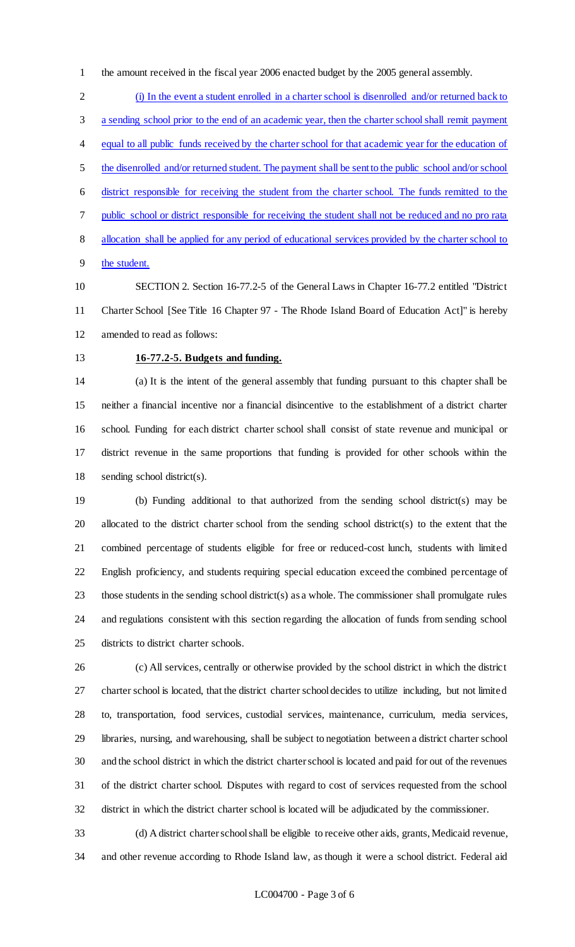the amount received in the fiscal year 2006 enacted budget by the 2005 general assembly.

 (i) In the event a student enrolled in a charter school is disenrolled and/or returned back to a sending school prior to the end of an academic year, then the charter school shall remit payment 4 equal to all public funds received by the charter school for that academic year for the education of the disenrolled and/or returned student. The payment shall be sent to the public school and/or school district responsible for receiving the student from the charter school. The funds remitted to the public school or district responsible for receiving the student shall not be reduced and no pro rata allocation shall be applied for any period of educational services provided by the charter school to the student.

- SECTION 2. Section 16-77.2-5 of the General Laws in Chapter 16-77.2 entitled "District Charter School [See Title 16 Chapter 97 - The Rhode Island Board of Education Act]" is hereby amended to read as follows:
- 

# **16-77.2-5. Budgets and funding.**

 (a) It is the intent of the general assembly that funding pursuant to this chapter shall be neither a financial incentive nor a financial disincentive to the establishment of a district charter school. Funding for each district charter school shall consist of state revenue and municipal or district revenue in the same proportions that funding is provided for other schools within the sending school district(s).

 (b) Funding additional to that authorized from the sending school district(s) may be allocated to the district charter school from the sending school district(s) to the extent that the combined percentage of students eligible for free or reduced-cost lunch, students with limited English proficiency, and students requiring special education exceed the combined percentage of those students in the sending school district(s) as a whole. The commissioner shall promulgate rules and regulations consistent with this section regarding the allocation of funds from sending school districts to district charter schools.

 (c) All services, centrally or otherwise provided by the school district in which the district charter school is located, that the district charter school decides to utilize including, but not limited to, transportation, food services, custodial services, maintenance, curriculum, media services, libraries, nursing, and warehousing, shall be subject to negotiation between a district charter school and the school district in which the district charter school is located and paid for out of the revenues of the district charter school. Disputes with regard to cost of services requested from the school district in which the district charter school is located will be adjudicated by the commissioner.

 (d) A district charter school shall be eligible to receive other aids, grants, Medicaid revenue, and other revenue according to Rhode Island law, as though it were a school district. Federal aid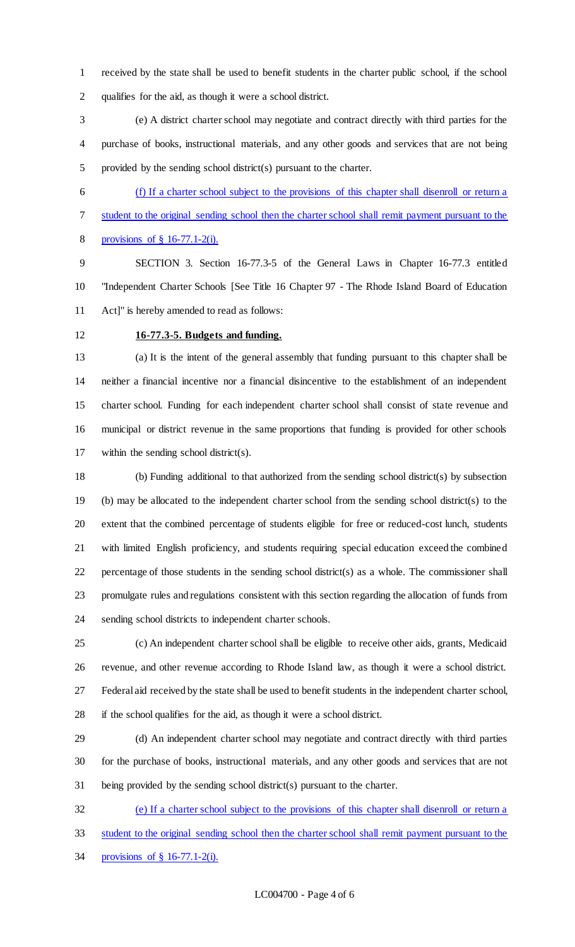received by the state shall be used to benefit students in the charter public school, if the school qualifies for the aid, as though it were a school district.

 (e) A district charter school may negotiate and contract directly with third parties for the purchase of books, instructional materials, and any other goods and services that are not being provided by the sending school district(s) pursuant to the charter.

 (f) If a charter school subject to the provisions of this chapter shall disenroll or return a student to the original sending school then the charter school shall remit payment pursuant to the provisions of § 16-77.1-2(i).

 SECTION 3. Section 16-77.3-5 of the General Laws in Chapter 16-77.3 entitled "Independent Charter Schools [See Title 16 Chapter 97 - The Rhode Island Board of Education Act]" is hereby amended to read as follows:

### **16-77.3-5. Budgets and funding.**

 (a) It is the intent of the general assembly that funding pursuant to this chapter shall be neither a financial incentive nor a financial disincentive to the establishment of an independent charter school. Funding for each independent charter school shall consist of state revenue and municipal or district revenue in the same proportions that funding is provided for other schools within the sending school district(s).

 (b) Funding additional to that authorized from the sending school district(s) by subsection (b) may be allocated to the independent charter school from the sending school district(s) to the extent that the combined percentage of students eligible for free or reduced-cost lunch, students with limited English proficiency, and students requiring special education exceed the combined percentage of those students in the sending school district(s) as a whole. The commissioner shall promulgate rules and regulations consistent with this section regarding the allocation of funds from sending school districts to independent charter schools.

 (c) An independent charter school shall be eligible to receive other aids, grants, Medicaid revenue, and other revenue according to Rhode Island law, as though it were a school district. Federal aid received by the state shall be used to benefit students in the independent charter school, if the school qualifies for the aid, as though it were a school district.

 (d) An independent charter school may negotiate and contract directly with third parties for the purchase of books, instructional materials, and any other goods and services that are not being provided by the sending school district(s) pursuant to the charter.

 (e) If a charter school subject to the provisions of this chapter shall disenroll or return a student to the original sending school then the charter school shall remit payment pursuant to the provisions of § 16-77.1-2(i).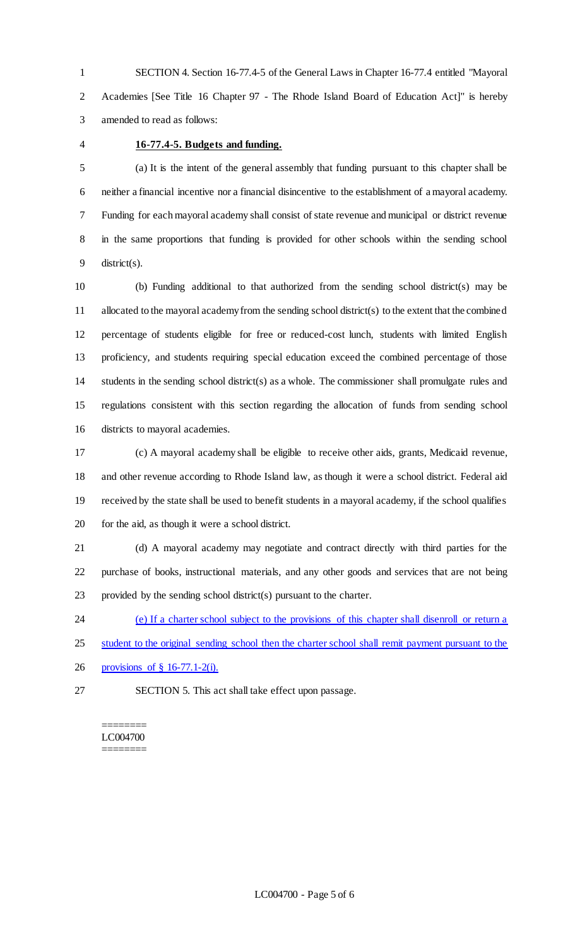SECTION 4. Section 16-77.4-5 of the General Laws in Chapter 16-77.4 entitled "Mayoral Academies [See Title 16 Chapter 97 - The Rhode Island Board of Education Act]" is hereby amended to read as follows:

### **16-77.4-5. Budgets and funding.**

 (a) It is the intent of the general assembly that funding pursuant to this chapter shall be neither a financial incentive nor a financial disincentive to the establishment of a mayoral academy. Funding for each mayoral academy shall consist of state revenue and municipal or district revenue in the same proportions that funding is provided for other schools within the sending school district(s).

 (b) Funding additional to that authorized from the sending school district(s) may be allocated to the mayoral academy from the sending school district(s) to the extent that the combined percentage of students eligible for free or reduced-cost lunch, students with limited English proficiency, and students requiring special education exceed the combined percentage of those students in the sending school district(s) as a whole. The commissioner shall promulgate rules and regulations consistent with this section regarding the allocation of funds from sending school districts to mayoral academies.

 (c) A mayoral academy shall be eligible to receive other aids, grants, Medicaid revenue, and other revenue according to Rhode Island law, as though it were a school district. Federal aid received by the state shall be used to benefit students in a mayoral academy, if the school qualifies for the aid, as though it were a school district.

 (d) A mayoral academy may negotiate and contract directly with third parties for the purchase of books, instructional materials, and any other goods and services that are not being provided by the sending school district(s) pursuant to the charter.

(e) If a charter school subject to the provisions of this chapter shall disenroll or return a

25 student to the original sending school then the charter school shall remit payment pursuant to the

provisions of § 16-77.1-2(i).

SECTION 5. This act shall take effect upon passage.

======== LC004700 ========